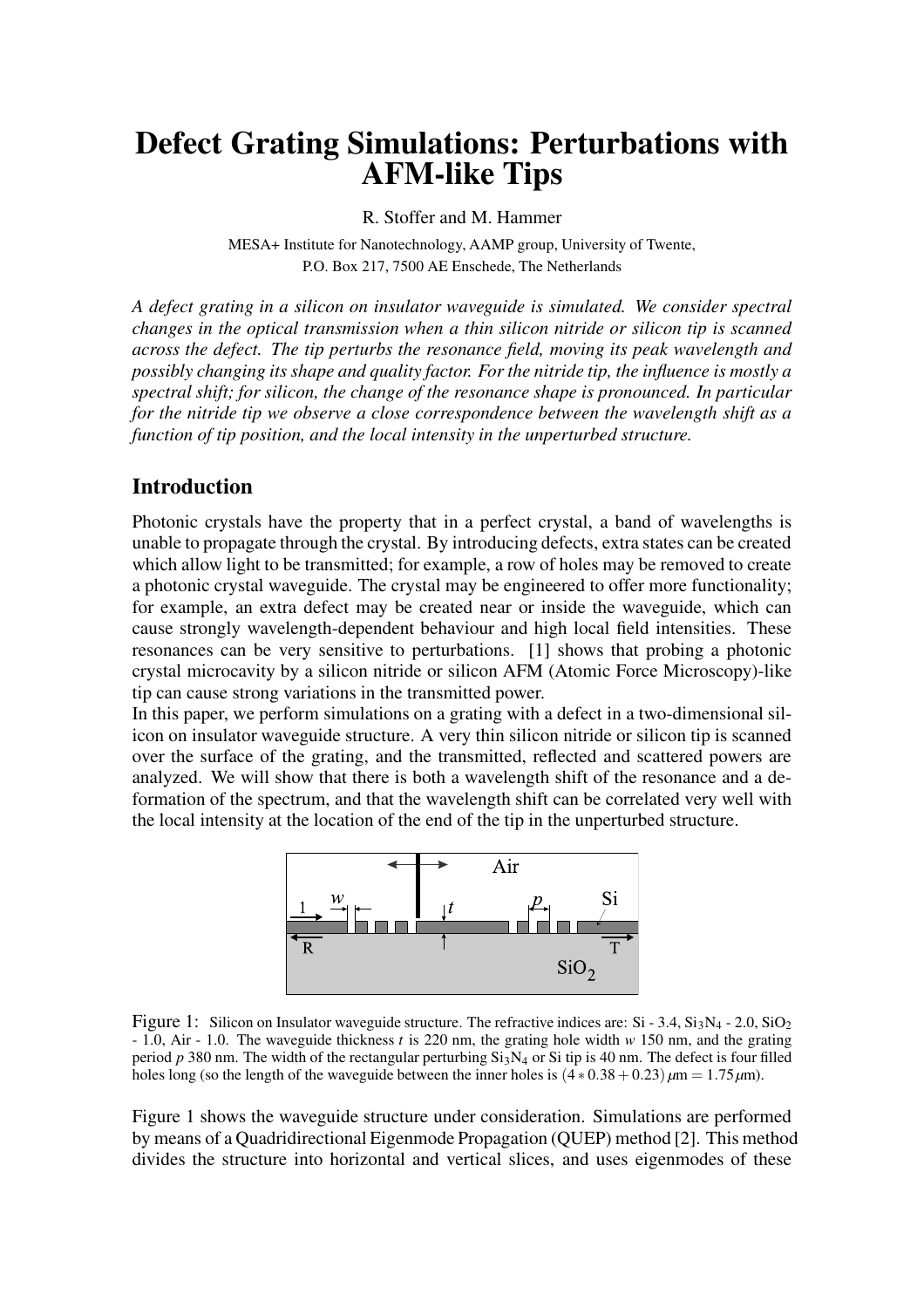# **Defect Grating Simulations: Perturbations with AFM-like Tips**

R. Stoffer and M. Hammer

MESA+ Institute for Nanotechnology, AAMP group, University of Twente, P.O. Box 217, 7500 AE Enschede, The Netherlands

*A defect grating in a silicon on insulator waveguide is simulated. We consider spectral changes in the optical transmission when a thin silicon nitride or silicon tip is scanned across the defect. The tip perturbs the resonance field, moving its peak wavelength and possibly changing its shape and quality factor. For the nitride tip, the influence is mostly a spectral shift; for silicon, the change of the resonance shape is pronounced. In particular for the nitride tip we observe a close correspondence between the wavelength shift as a function of tip position, and the local intensity in the unperturbed structure.*

## **Introduction**

Photonic crystals have the property that in a perfect crystal, a band of wavelengths is unable to propagate through the crystal. By introducing defects, extra states can be created which allow light to be transmitted; for example, a row of holes may be removed to create a photonic crystal waveguide. The crystal may be engineered to offer more functionality; for example, an extra defect may be created near or inside the waveguide, which can cause strongly wavelength-dependent behaviour and high local field intensities. These resonances can be very sensitive to perturbations. [1] shows that probing a photonic crystal microcavity by a silicon nitride or silicon AFM (Atomic Force Microscopy)-like tip can cause strong variations in the transmitted power.

In this paper, we perform simulations on a grating with a defect in a two-dimensional silicon on insulator waveguide structure. A very thin silicon nitride or silicon tip is scanned over the surface of the grating, and the transmitted, reflected and scattered powers are analyzed. We will show that there is both a wavelength shift of the resonance and a deformation of the spectrum, and that the wavelength shift can be correlated very well with the local intensity at the location of the end of the tip in the unperturbed structure.



Figure 1: Silicon on Insulator waveguide structure. The refractive indices are: Si - 3.4,  $Si<sub>3</sub>N<sub>4</sub>$  - 2.0,  $Si<sub>2</sub>$ - 1.0, Air - 1.0. The waveguide thickness *t* is 220 nm, the grating hole width *w* 150 nm, and the grating period *p* 380 nm. The width of the rectangular perturbing Si<sub>3</sub>N<sub>4</sub> or Si tip is 40 nm. The defect is four filled holes long (so the length of the waveguide between the inner holes is  $(4 * 0.38 + 0.23) \mu m = 1.75 \mu m$ ).

Figure 1 shows the waveguide structure under consideration. Simulations are performed by means of a Quadridirectional Eigenmode Propagation (QUEP) method [2]. This method divides the structure into horizontal and vertical slices, and uses eigenmodes of these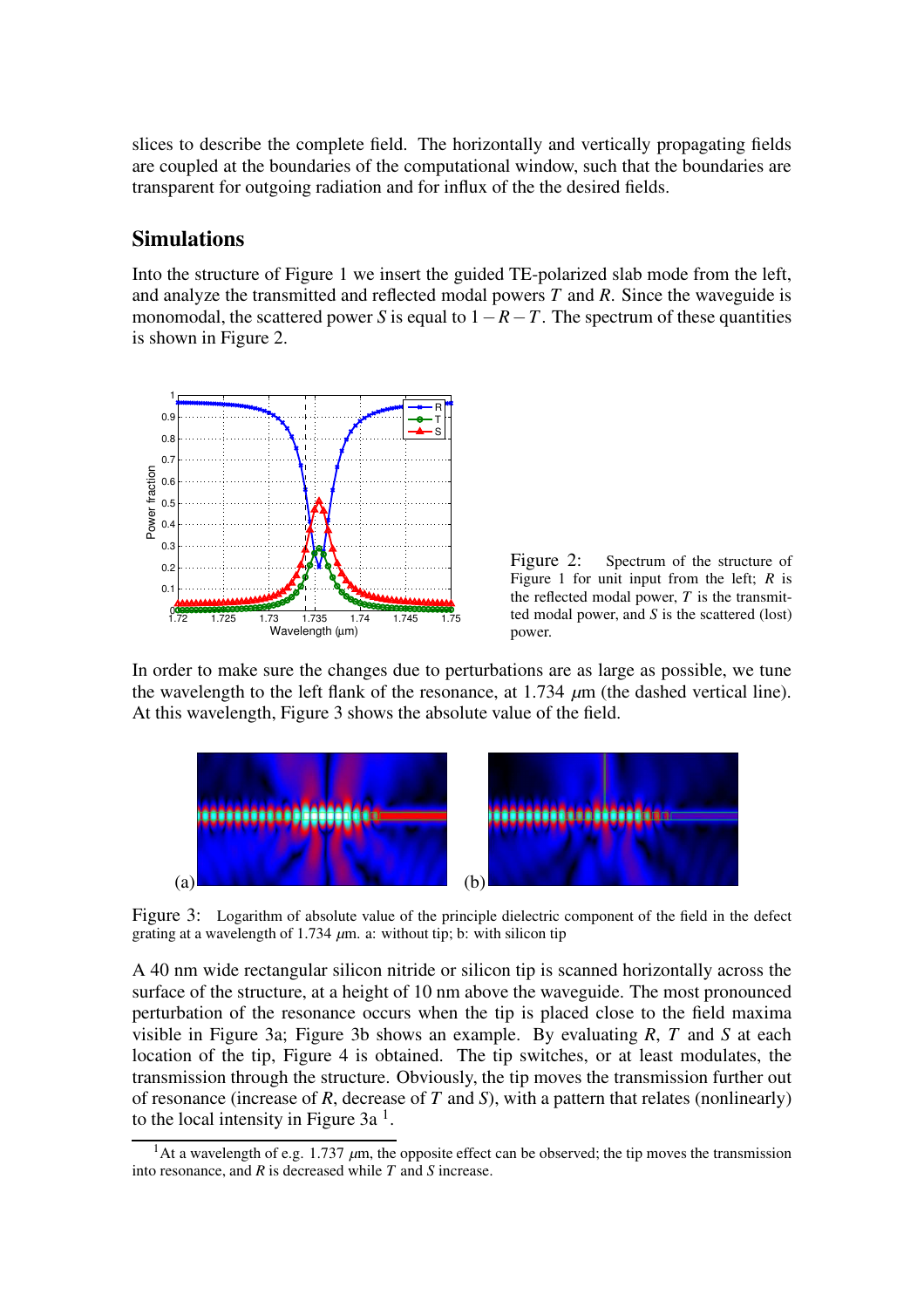slices to describe the complete field. The horizontally and vertically propagating fields are coupled at the boundaries of the computational window, such that the boundaries are transparent for outgoing radiation and for influx of the the desired fields.

## **Simulations**

Into the structure of Figure 1 we insert the guided TE-polarized slab mode from the left, and analyze the transmitted and reflected modal powers *T* and *R*. Since the waveguide is monomodal, the scattered power *S* is equal to  $1 - R - T$ . The spectrum of these quantities is shown in Figure 2.



Figure 2: Spectrum of the structure of Figure 1 for unit input from the left; *R* is the reflected modal power, *T* is the transmitted modal power, and *S* is the scattered (lost) power.

In order to make sure the changes due to perturbations are as large as possible, we tune the wavelength to the left flank of the resonance, at  $1.734 \mu m$  (the dashed vertical line). At this wavelength, Figure 3 shows the absolute value of the field.



Figure 3: Logarithm of absolute value of the principle dielectric component of the field in the defect grating at a wavelength of 1.734  $\mu$ m. a: without tip; b: with silicon tip

A 40 nm wide rectangular silicon nitride or silicon tip is scanned horizontally across the surface of the structure, at a height of 10 nm above the waveguide. The most pronounced perturbation of the resonance occurs when the tip is placed close to the field maxima visible in Figure 3a; Figure 3b shows an example. By evaluating *R*, *T* and *S* at each location of the tip, Figure 4 is obtained. The tip switches, or at least modulates, the transmission through the structure. Obviously, the tip moves the transmission further out of resonance (increase of *R*, decrease of *T* and *S*), with a pattern that relates (nonlinearly) to the local intensity in Figure  $3a<sup>1</sup>$ .

 $\frac{1}{1}$ At a wavelength of e.g. 1.737  $\mu$ m, the opposite effect can be observed; the tip moves the transmission into resonance, and *R* is decreased while *T* and *S* increase.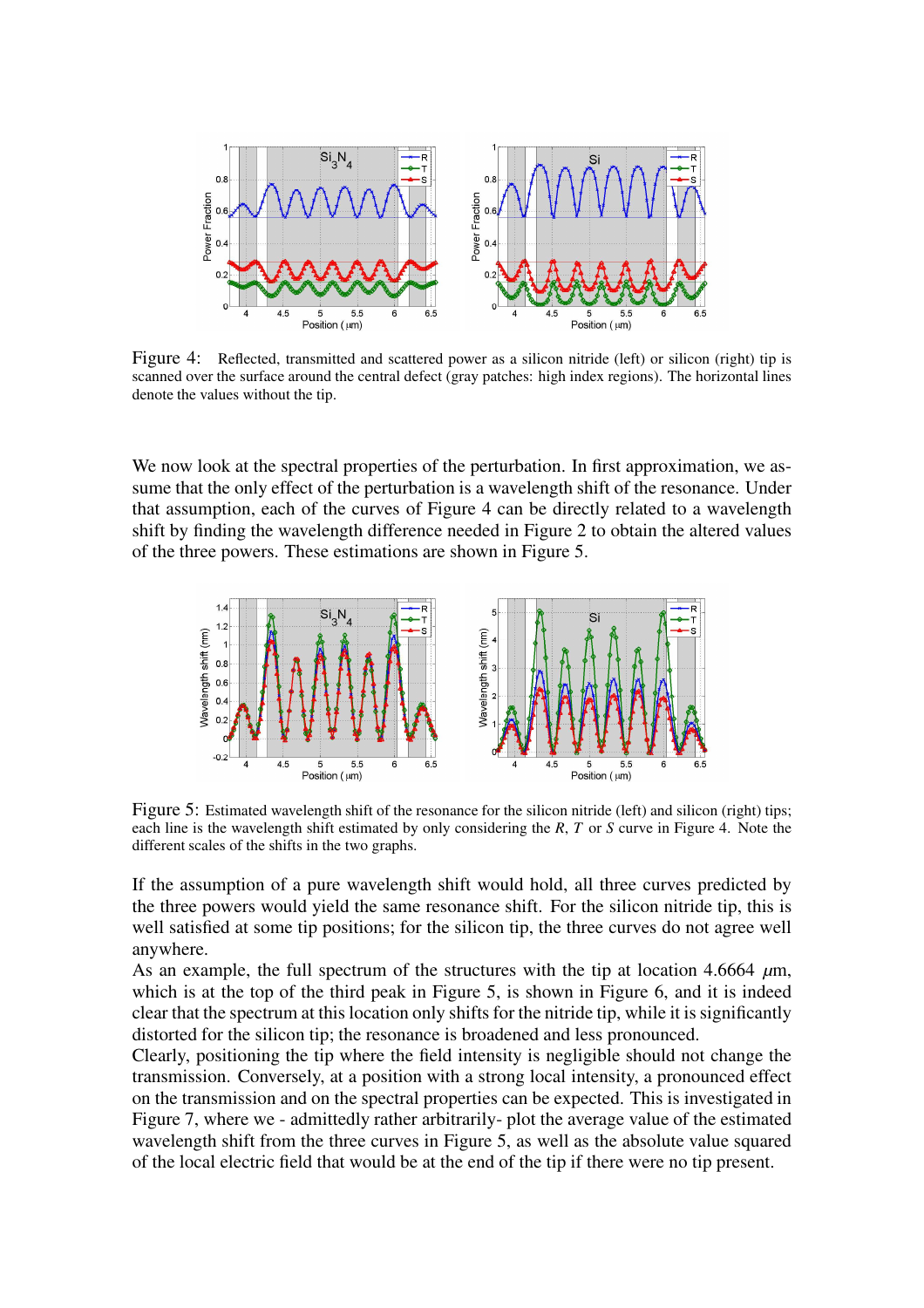

Figure 4: Reflected, transmitted and scattered power as a silicon nitride (left) or silicon (right) tip is scanned over the surface around the central defect (gray patches: high index regions). The horizontal lines denote the values without the tip.

We now look at the spectral properties of the perturbation. In first approximation, we assume that the only effect of the perturbation is a wavelength shift of the resonance. Under that assumption, each of the curves of Figure 4 can be directly related to a wavelength shift by finding the wavelength difference needed in Figure 2 to obtain the altered values of the three powers. These estimations are shown in Figure 5.



Figure 5: Estimated wavelength shift of the resonance for the silicon nitride (left) and silicon (right) tips; each line is the wavelength shift estimated by only considering the *R*, *T* or *S* curve in Figure 4. Note the different scales of the shifts in the two graphs.

If the assumption of a pure wavelength shift would hold, all three curves predicted by the three powers would yield the same resonance shift. For the silicon nitride tip, this is well satisfied at some tip positions; for the silicon tip, the three curves do not agree well anywhere.

As an example, the full spectrum of the structures with the tip at location 4.6664  $\mu$ m, which is at the top of the third peak in Figure 5, is shown in Figure 6, and it is indeed clear that the spectrum at this location only shifts for the nitride tip, while it is significantly distorted for the silicon tip; the resonance is broadened and less pronounced.

Clearly, positioning the tip where the field intensity is negligible should not change the transmission. Conversely, at a position with a strong local intensity, a pronounced effect on the transmission and on the spectral properties can be expected. This is investigated in Figure 7, where we - admittedly rather arbitrarily- plot the average value of the estimated wavelength shift from the three curves in Figure 5, as well as the absolute value squared of the local electric field that would be at the end of the tip if there were no tip present.